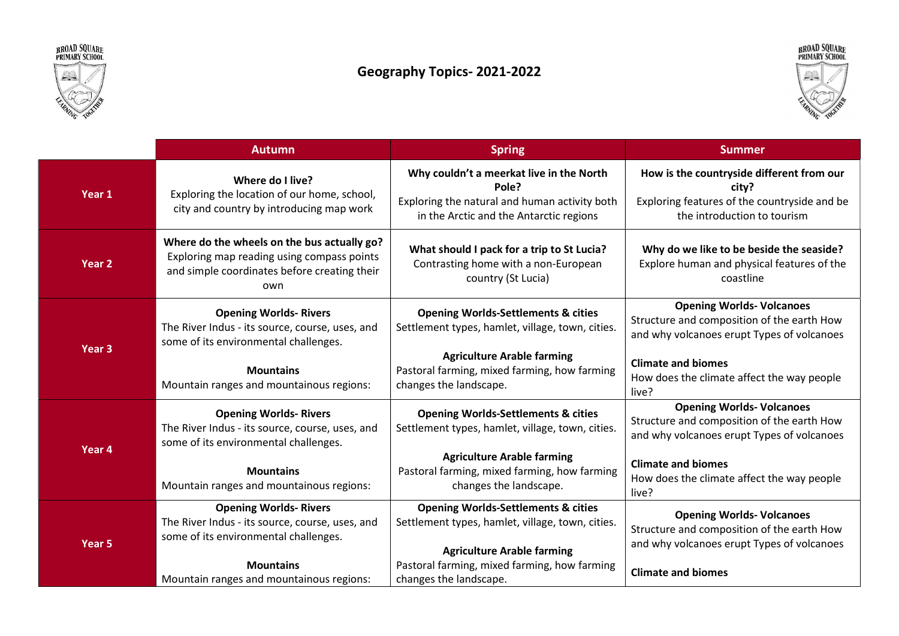



## Geography Topics- 2021-2022



|                   | <b>Autumn</b>                                                                                                                                    | <b>Spring</b>                                                                                                                                 | <b>Summer</b>                                                                                                                     |
|-------------------|--------------------------------------------------------------------------------------------------------------------------------------------------|-----------------------------------------------------------------------------------------------------------------------------------------------|-----------------------------------------------------------------------------------------------------------------------------------|
| Year 1            | Where do I live?<br>Exploring the location of our home, school,<br>city and country by introducing map work                                      | Why couldn't a meerkat live in the North<br>Pole?<br>Exploring the natural and human activity both<br>in the Arctic and the Antarctic regions | How is the countryside different from our<br>city?<br>Exploring features of the countryside and be<br>the introduction to tourism |
| Year <sub>2</sub> | Where do the wheels on the bus actually go?<br>Exploring map reading using compass points<br>and simple coordinates before creating their<br>own | What should I pack for a trip to St Lucia?<br>Contrasting home with a non-European<br>country (St Lucia)                                      | Why do we like to be beside the seaside?<br>Explore human and physical features of the<br>coastline                               |
| Year <sub>3</sub> | <b>Opening Worlds- Rivers</b><br>The River Indus - its source, course, uses, and<br>some of its environmental challenges.                        | <b>Opening Worlds-Settlements &amp; cities</b><br>Settlement types, hamlet, village, town, cities.                                            | <b>Opening Worlds- Volcanoes</b><br>Structure and composition of the earth How<br>and why volcanoes erupt Types of volcanoes      |
|                   | <b>Mountains</b><br>Mountain ranges and mountainous regions:                                                                                     | <b>Agriculture Arable farming</b><br>Pastoral farming, mixed farming, how farming<br>changes the landscape.                                   | <b>Climate and biomes</b><br>How does the climate affect the way people<br>live?                                                  |
| Year 4            | <b>Opening Worlds- Rivers</b><br>The River Indus - its source, course, uses, and<br>some of its environmental challenges.                        | <b>Opening Worlds-Settlements &amp; cities</b><br>Settlement types, hamlet, village, town, cities.                                            | <b>Opening Worlds- Volcanoes</b><br>Structure and composition of the earth How<br>and why volcanoes erupt Types of volcanoes      |
|                   | <b>Mountains</b><br>Mountain ranges and mountainous regions:                                                                                     | <b>Agriculture Arable farming</b><br>Pastoral farming, mixed farming, how farming<br>changes the landscape.                                   | <b>Climate and biomes</b><br>How does the climate affect the way people<br>live?                                                  |
| Year <sub>5</sub> | <b>Opening Worlds- Rivers</b><br>The River Indus - its source, course, uses, and<br>some of its environmental challenges.                        | <b>Opening Worlds-Settlements &amp; cities</b><br>Settlement types, hamlet, village, town, cities.                                            | <b>Opening Worlds- Volcanoes</b><br>Structure and composition of the earth How<br>and why volcanoes erupt Types of volcanoes      |
|                   | <b>Mountains</b><br>Mountain ranges and mountainous regions:                                                                                     | <b>Agriculture Arable farming</b><br>Pastoral farming, mixed farming, how farming<br>changes the landscape.                                   | <b>Climate and biomes</b>                                                                                                         |